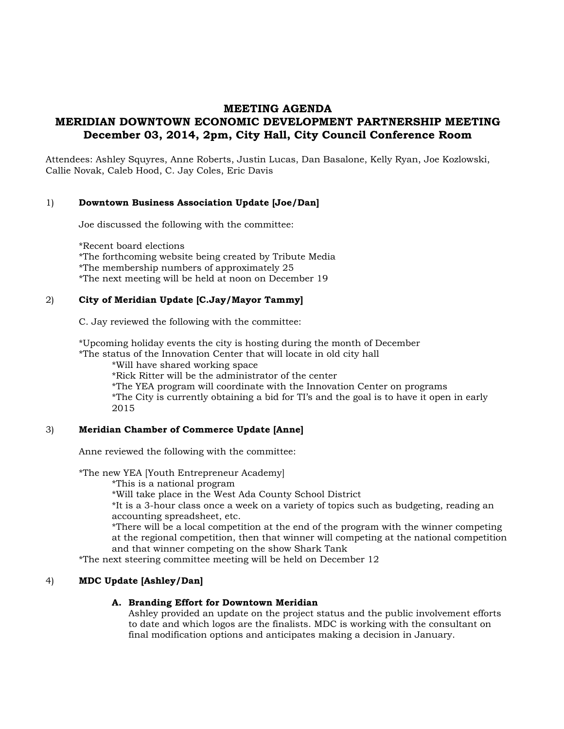# **MEETING AGENDA MERIDIAN DOWNTOWN ECONOMIC DEVELOPMENT PARTNERSHIP MEETING December 03, 2014, 2pm, City Hall, City Council Conference Room**

Attendees: Ashley Squyres, Anne Roberts, Justin Lucas, Dan Basalone, Kelly Ryan, Joe Kozlowski, Callie Novak, Caleb Hood, C. Jay Coles, Eric Davis

### 1) **Downtown Business Association Update [Joe/Dan]**

Joe discussed the following with the committee:

\*Recent board elections \*The forthcoming website being created by Tribute Media \*The membership numbers of approximately 25 \*The next meeting will be held at noon on December 19

### 2) **City of Meridian Update [C.Jay/Mayor Tammy]**

C. Jay reviewed the following with the committee:

\*Upcoming holiday events the city is hosting during the month of December \*The status of the Innovation Center that will locate in old city hall

\*Will have shared working space

\*Rick Ritter will be the administrator of the center

\*The YEA program will coordinate with the Innovation Center on programs

\*The City is currently obtaining a bid for TI's and the goal is to have it open in early 2015

#### 3) **Meridian Chamber of Commerce Update [Anne]**

Anne reviewed the following with the committee:

\*The new YEA [Youth Entrepreneur Academy]

\*This is a national program

\*Will take place in the West Ada County School District

\*It is a 3-hour class once a week on a variety of topics such as budgeting, reading an accounting spreadsheet, etc.

\*There will be a local competition at the end of the program with the winner competing at the regional competition, then that winner will competing at the national competition and that winner competing on the show Shark Tank

\*The next steering committee meeting will be held on December 12

# 4) **MDC Update [Ashley/Dan]**

# **A. Branding Effort for Downtown Meridian**

Ashley provided an update on the project status and the public involvement efforts to date and which logos are the finalists. MDC is working with the consultant on final modification options and anticipates making a decision in January.